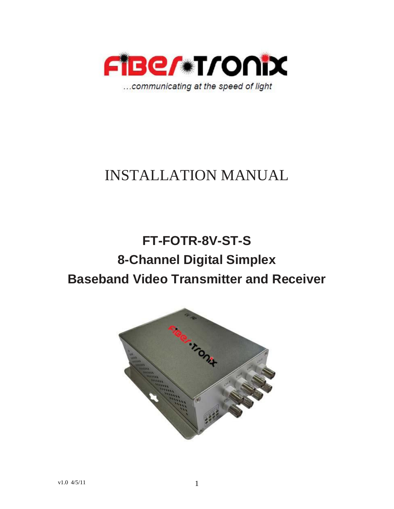

# INSTALLATION MANUAL

# **FT-FOTR-8V-ST-S 8-Channel Digital Simplex Baseband Video Transmitter and Receiver**

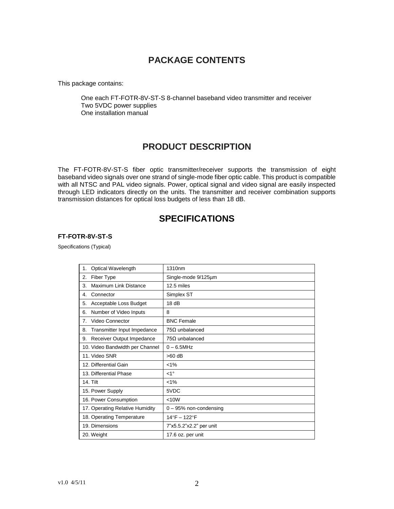## **PACKAGE CONTENTS**

This package contains:

One each FT-FOTR-8V-ST-S 8-channel baseband video transmitter and receiver Two 5VDC power supplies One installation manual

### **PRODUCT DESCRIPTION**

The FT-FOTR-8V-ST-S fiber optic transmitter/receiver supports the transmission of eight baseband video signals over one strand of single-mode fiber optic cable. This product is compatible with all NTSC and PAL video signals. Power, optical signal and video signal are easily inspected through LED indicators directly on the units. The transmitter and receiver combination supports transmission distances for optical loss budgets of less than 18 dB.

### **SPECIFICATIONS**

#### **FT-FOTR-8V-ST-S**

Specifications (Typical)

| Optical Wavelength<br>1.          | 1310nm                  |
|-----------------------------------|-------------------------|
| Fiber Type<br>2.                  | Single-mode 9/125um     |
| Maximum Link Distance<br>3.       | 12.5 miles              |
| 4.<br>Connector                   | Simplex ST              |
| 5.<br>Acceptable Loss Budget      | 18dB                    |
| Number of Video Inputs<br>6.      | 8                       |
| Video Connector<br>7.             | <b>BNC Female</b>       |
| Transmitter Input Impedance<br>8. | $75\Omega$ unbalanced   |
| Receiver Output Impedance<br>9.   | $75\Omega$ unbalanced   |
| 10. Video Bandwidth per Channel   | $0 - 6.5$ MHz           |
| 11. Video SNR                     | $>60$ dB                |
| 12. Differential Gain             | $< 1\%$                 |
| 13. Differential Phase            | $<1^{\circ}$            |
| <b>14. Tilt</b>                   | $< 1\%$                 |
| 15. Power Supply                  | 5VDC                    |
| 16. Power Consumption             | < 10W                   |
| 17. Operating Relative Humidity   | 0 - 95% non-condensing  |
| 18. Operating Temperature         | 14°F - 122°F            |
| 19. Dimensions                    | 7"x5.5.2"x2.2" per unit |
| 20. Weight                        | 17.6 oz. per unit       |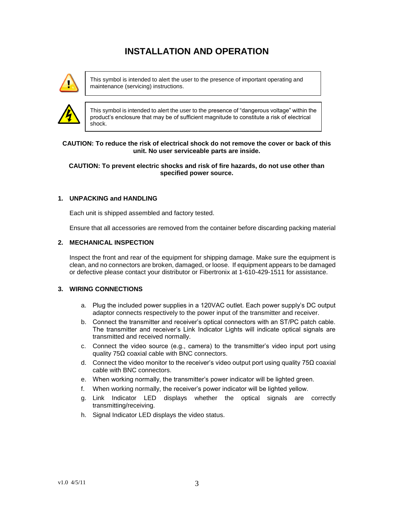## **INSTALLATION AND OPERATION**



This symbol is intended to alert the user to the presence of important operating and maintenance (servicing) instructions.



This symbol is intended to alert the user to the presence of "dangerous voltage" within the product's enclosure that may be of sufficient magnitude to constitute a risk of electrical shock.

#### **CAUTION: To reduce the risk of electrical shock do not remove the cover or back of this unit. No user serviceable parts are inside.**

#### **CAUTION: To prevent electric shocks and risk of fire hazards, do not use other than specified power source.**

#### **1. UNPACKING and HANDLING**

Each unit is shipped assembled and factory tested.

Ensure that all accessories are removed from the container before discarding packing material

#### **2. MECHANICAL INSPECTION**

Inspect the front and rear of the equipment for shipping damage. Make sure the equipment is clean, and no connectors are broken, damaged, or loose. If equipment appears to be damaged or defective please contact your distributor or Fibertronix at 1-610-429-1511 for assistance.

#### **3. WIRING CONNECTIONS**

- a. Plug the included power supplies in a 120VAC outlet. Each power supply's DC output adaptor connects respectively to the power input of the transmitter and receiver.
- b. Connect the transmitter and receiver's optical connectors with an ST/PC patch cable. The transmitter and receiver's Link Indicator Lights will indicate optical signals are transmitted and received normally.
- c. Connect the video source (e.g., camera) to the transmitter's video input port using quality 75Ω coaxial cable with BNC connectors.
- d. Connect the video monitor to the receiver's video output port using quality 75 $\Omega$  coaxial cable with BNC connectors.
- e. When working normally, the transmitter's power indicator will be lighted green.
- f. When working normally, the receiver's power indicator will be lighted yellow.
- g. Link Indicator LED displays whether the optical signals are correctly transmitting/receiving.
- h. Signal Indicator LED displays the video status.